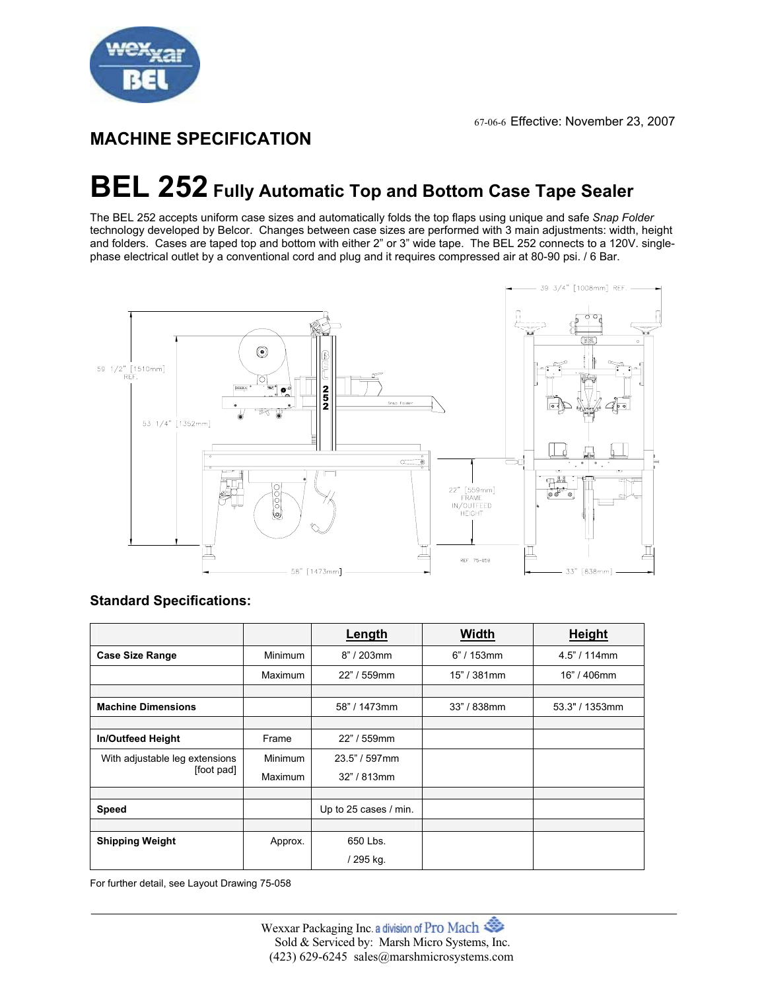

# **MACHINE SPECIFICATION**

# **BEL 252 Fully Automatic Top and Bottom Case Tape Sealer**

The BEL 252 accepts uniform case sizes and automatically folds the top flaps using unique and safe *Snap Folder* technology developed by Belcor. Changes between case sizes are performed with 3 main adjustments: width, height and folders. Cases are taped top and bottom with either 2" or 3" wide tape. The BEL 252 connects to a 120V. singlephase electrical outlet by a conventional cord and plug and it requires compressed air at 80-90 psi. / 6 Bar.



| <b>Standard Specifications:</b> |  |
|---------------------------------|--|
|---------------------------------|--|

|                                              |                | Length                | <b>Width</b>  | Height          |
|----------------------------------------------|----------------|-----------------------|---------------|-----------------|
| <b>Case Size Range</b>                       | <b>Minimum</b> | 8" / 203mm            | $6" / 153$ mm | $4.5$ " / 114mm |
|                                              | <b>Maximum</b> | 22" / 559mm           | 15" / 381mm   | 16" / 406mm     |
|                                              |                |                       |               |                 |
| <b>Machine Dimensions</b>                    |                | 58" / 1473mm          | 33" / 838mm   | 53.3" / 1353mm  |
|                                              |                |                       |               |                 |
| <b>In/Outfeed Height</b>                     | Frame          | 22" / 559mm           |               |                 |
| With adjustable leg extensions<br>[foot pad] | <b>Minimum</b> | $23.5" / 597$ mm      |               |                 |
|                                              | Maximum        | $32" / 813$ mm        |               |                 |
|                                              |                |                       |               |                 |
| Speed                                        |                | Up to 25 cases / min. |               |                 |
|                                              |                |                       |               |                 |
| <b>Shipping Weight</b>                       | Approx.        | 650 Lbs.              |               |                 |
|                                              |                | / 295 kg.             |               |                 |

For further detail, see Layout Drawing 75-058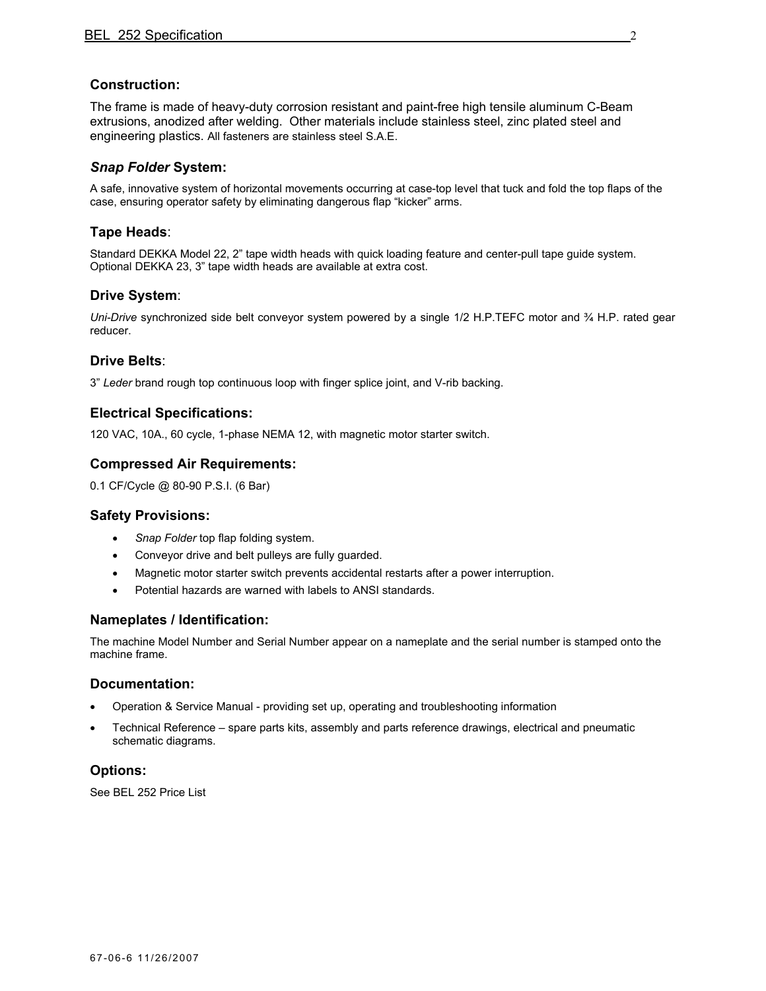# **Construction:**

The frame is made of heavy-duty corrosion resistant and paint-free high tensile aluminum C-Beam extrusions, anodized after welding. Other materials include stainless steel, zinc plated steel and engineering plastics. All fasteners are stainless steel S.A.E.

#### *Snap Folder* **System:**

A safe, innovative system of horizontal movements occurring at case-top level that tuck and fold the top flaps of the case, ensuring operator safety by eliminating dangerous flap "kicker" arms.

# **Tape Heads**:

Standard DEKKA Model 22, 2" tape width heads with quick loading feature and center-pull tape guide system. Optional DEKKA 23, 3" tape width heads are available at extra cost.

# **Drive System**:

*Uni-Drive* synchronized side belt conveyor system powered by a single 1/2 H.P.TEFC motor and ¾ H.P. rated gear reducer.

# **Drive Belts**:

3" *Leder* brand rough top continuous loop with finger splice joint, and V-rib backing.

#### **Electrical Specifications:**

120 VAC, 10A., 60 cycle, 1-phase NEMA 12, with magnetic motor starter switch.

# **Compressed Air Requirements:**

0.1 CF/Cycle @ 80-90 P.S.I. (6 Bar)

#### **Safety Provisions:**

- *Snap Folder* top flap folding system.
- Conveyor drive and belt pulleys are fully guarded.
- Magnetic motor starter switch prevents accidental restarts after a power interruption.
- Potential hazards are warned with labels to ANSI standards.

#### **Nameplates / Identification:**

The machine Model Number and Serial Number appear on a nameplate and the serial number is stamped onto the machine frame.

#### **Documentation:**

- Operation & Service Manual providing set up, operating and troubleshooting information
- Technical Reference spare parts kits, assembly and parts reference drawings, electrical and pneumatic schematic diagrams.

# **Options:**

See BEL 252 Price List